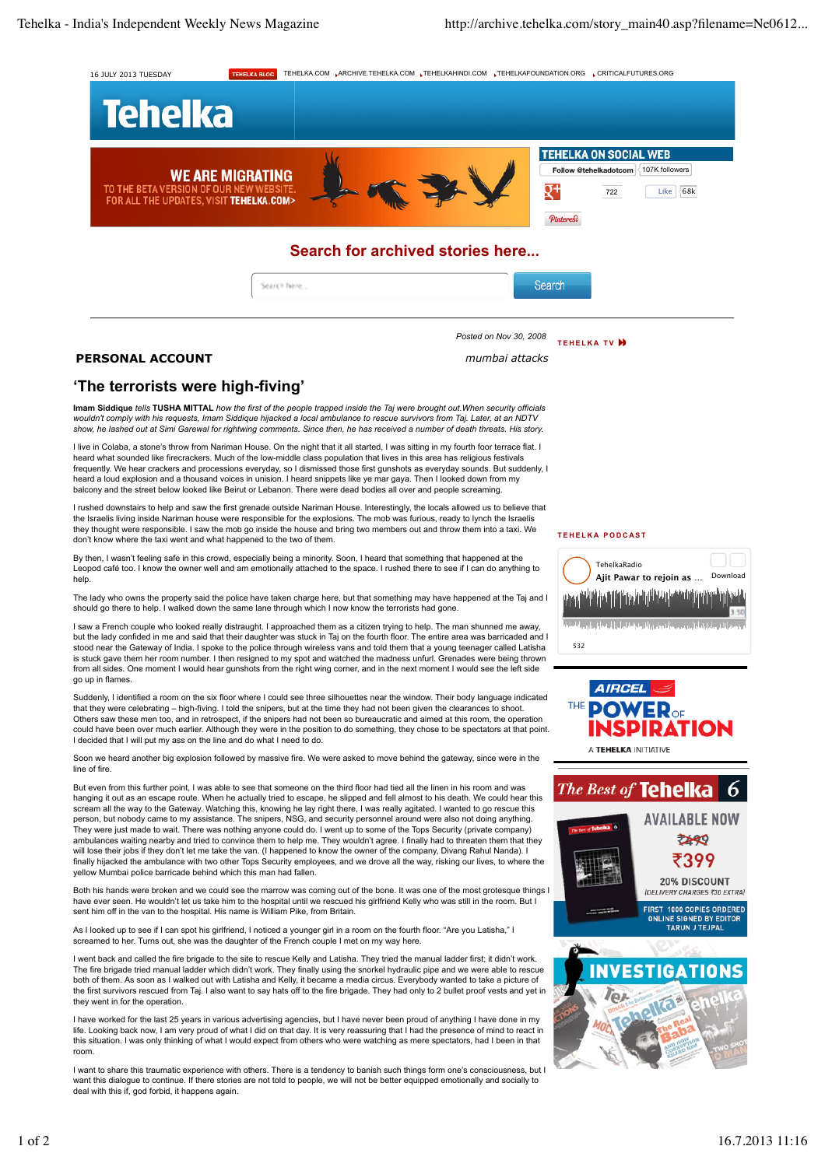